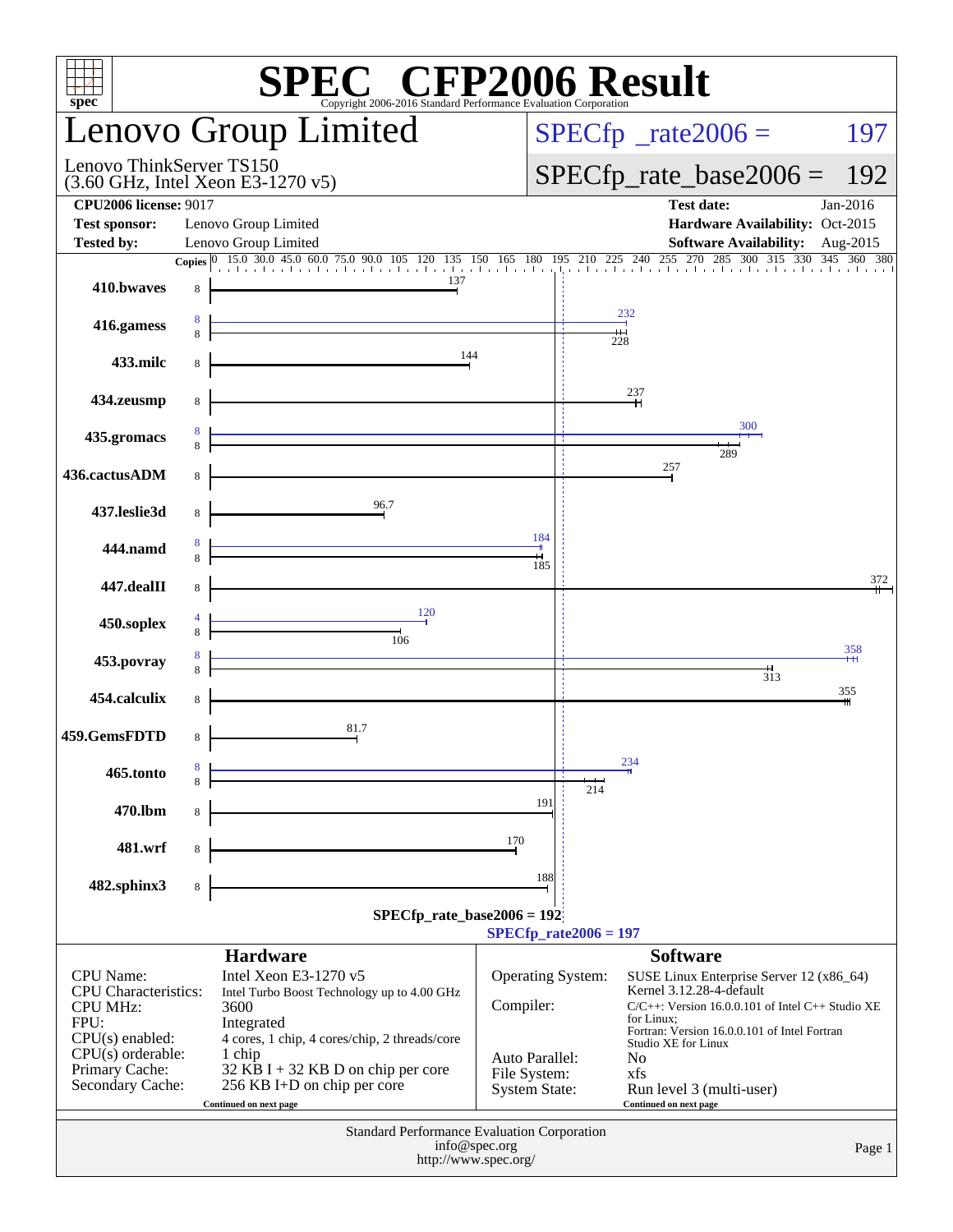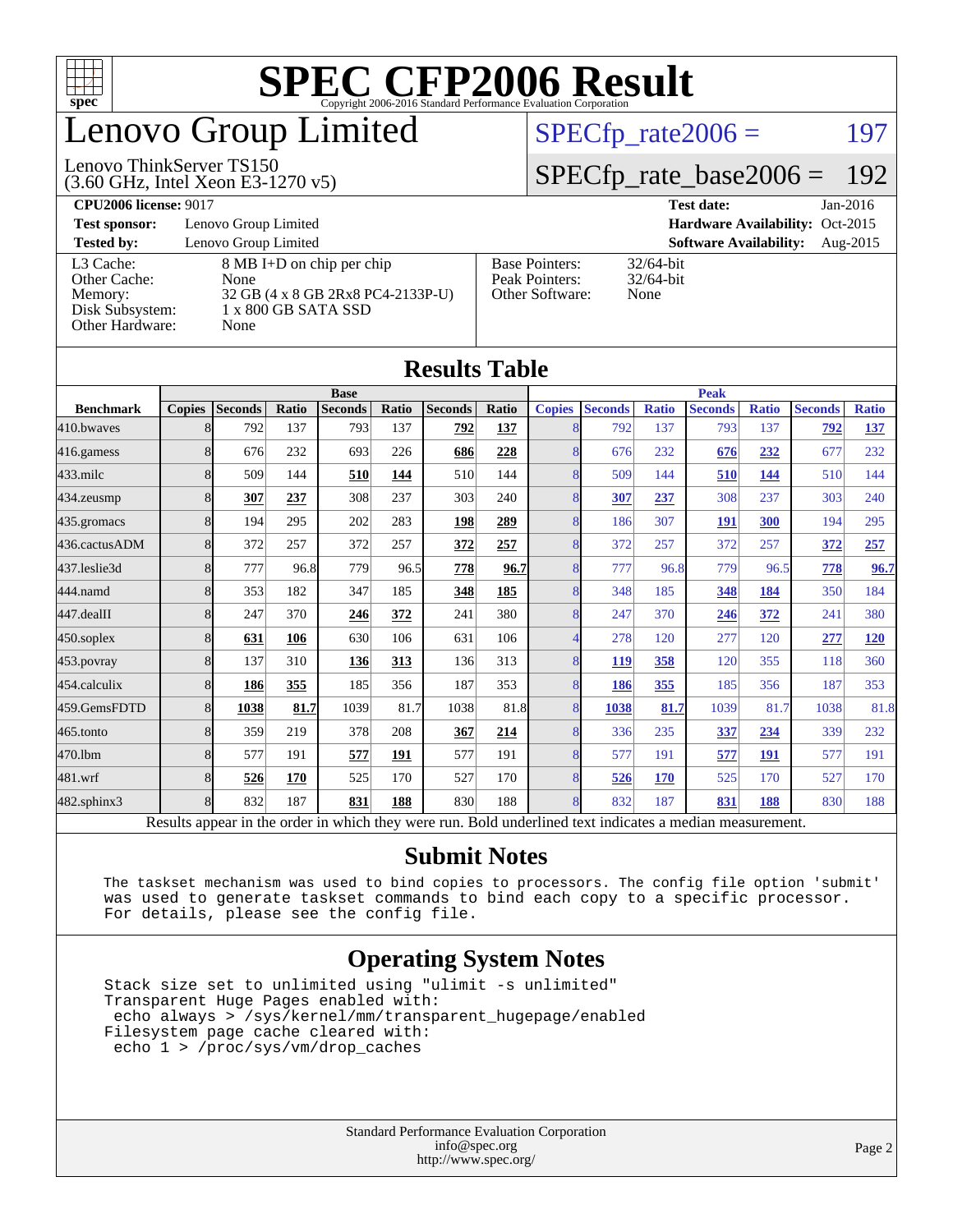

## enovo Group Limited

#### Lenovo ThinkServer TS150

(3.60 GHz, Intel Xeon E3-1270 v5)

 $SPECTp_rate2006 = 197$ 

#### [SPECfp\\_rate\\_base2006 =](http://www.spec.org/auto/cpu2006/Docs/result-fields.html#SPECfpratebase2006) 192

| <b>CPU2006 license: 9017</b> | <b>Test date:</b> | $Jan-2016$ |
|------------------------------|-------------------|------------|
|------------------------------|-------------------|------------|

**[Test sponsor:](http://www.spec.org/auto/cpu2006/Docs/result-fields.html#Testsponsor)** Lenovo Group Limited **[Hardware Availability:](http://www.spec.org/auto/cpu2006/Docs/result-fields.html#HardwareAvailability)** Oct-2015

**[Tested by:](http://www.spec.org/auto/cpu2006/Docs/result-fields.html#Testedby)** Lenovo Group Limited **[Software Availability:](http://www.spec.org/auto/cpu2006/Docs/result-fields.html#SoftwareAvailability)** Aug-2015

[L3 Cache:](http://www.spec.org/auto/cpu2006/Docs/result-fields.html#L3Cache) 8 MB I+D on chip per chip<br>Other Cache: None [Other Cache:](http://www.spec.org/auto/cpu2006/Docs/result-fields.html#OtherCache) [Memory:](http://www.spec.org/auto/cpu2006/Docs/result-fields.html#Memory) 32 GB (4 x 8 GB 2Rx8 PC4-2133P-U) [Disk Subsystem:](http://www.spec.org/auto/cpu2006/Docs/result-fields.html#DiskSubsystem) 1 x 800 GB SATA SSD [Other Hardware:](http://www.spec.org/auto/cpu2006/Docs/result-fields.html#OtherHardware) None

| <b>Base Pointers:</b><br>Peak Pointers:<br>Other Software: | $32/64$ -bit<br>$32/64$ -bit<br>None |
|------------------------------------------------------------|--------------------------------------|
|                                                            |                                      |

32/64-bit

| <b>Results Table</b>                                                                                     |                |                |       |                |       |                |             |               |                |              |                |              |                |              |
|----------------------------------------------------------------------------------------------------------|----------------|----------------|-------|----------------|-------|----------------|-------------|---------------|----------------|--------------|----------------|--------------|----------------|--------------|
|                                                                                                          | <b>Base</b>    |                |       |                |       |                | <b>Peak</b> |               |                |              |                |              |                |              |
| <b>Benchmark</b>                                                                                         | <b>Copies</b>  | <b>Seconds</b> | Ratio | <b>Seconds</b> | Ratio | <b>Seconds</b> | Ratio       | <b>Copies</b> | <b>Seconds</b> | <b>Ratio</b> | <b>Seconds</b> | <b>Ratio</b> | <b>Seconds</b> | <b>Ratio</b> |
| 410.bwaves                                                                                               |                | 792            | 137   | 793            | 137   | 792            | 137         | 8             | 792            | 137          | 793            | 137          | 792            | 137          |
| 416.gamess                                                                                               |                | 676            | 232   | 693            | 226   | 686            | 228         | 8             | 676            | 232          | 676            | 232          | 677            | 232          |
| $433$ .milc                                                                                              |                | 509            | 144   | 510            | 144   | 510            | 144         | 8             | 509            | 144          | 510            | 144          | 510            | 144          |
| 434.zeusmp                                                                                               |                | 307            | 237   | 308            | 237   | 303            | 240         | 8             | 307            | 237          | 308            | 237          | 303            | 240          |
| 435.gromacs                                                                                              |                | 194            | 295   | 202            | 283   | 198            | 289         | 8             | 186            | 307          | 191            | 300          | 194            | 295          |
| 436.cactusADM                                                                                            | $\overline{8}$ | 372            | 257   | 372            | 257   | 372            | 257         | 8             | 372            | 257          | 372            | 257          | 372            | 257          |
| 437.leslie3d                                                                                             |                | 777            | 96.8  | 779            | 96.5  | 778            | 96.7        | 8             | 777            | 96.8         | 779            | 96.5         | 778            | 96.7         |
| 444.namd                                                                                                 |                | 353            | 182   | 347            | 185   | 348            | 185         | 8             | 348            | 185          | 348            | 184          | 350            | 184          |
| 447.dealII                                                                                               | 81             | 247            | 370   | 246            | 372   | 241            | 380         | 8             | 247            | 370          | 246            | 372          | 241            | 380          |
| 450.soplex                                                                                               |                | 631            | 106   | 630            | 106   | 631            | 106         | 4             | 278            | 120          | 277            | 120          | 277            | <b>120</b>   |
| 453.povray                                                                                               |                | 137            | 310   | 136            | 313   | 136            | 313         | 8             | 119            | 358          | 120            | 355          | 118            | 360          |
| 454.calculix                                                                                             |                | 186            | 355   | 185            | 356   | 187            | 353         | 8             | 186            | 355          | 185            | 356          | 187            | 353          |
| 459.GemsFDTD                                                                                             |                | 1038           | 81.7  | 1039           | 81.7  | 1038           | 81.8        | 8             | 1038           | 81.7         | 1039           | 81.7         | 1038           | 81.8         |
| 465.tonto                                                                                                |                | 359            | 219   | 378            | 208   | 367            | 214         | 8             | 336            | 235          | 337            | 234          | 339            | 232          |
| 470.1bm                                                                                                  |                | 577            | 191   | 577            | 191   | 577            | 191         | 8             | 577            | 191          | 577            | 191          | 577            | 191          |
| 481.wrf                                                                                                  |                | 526            | 170   | 525            | 170   | 527            | 170         | 8             | 526            | 170          | 525            | 170          | 527            | 170          |
| 482.sphinx3                                                                                              | $\mathsf{R}$   | 832            | 187   | 831            | 188   | 830            | 188         | 8             | 832            | 187          | 831            | 188          | 830            | 188          |
| Results appear in the order in which they were run. Bold underlined text indicates a median measurement. |                |                |       |                |       |                |             |               |                |              |                |              |                |              |

#### **[Submit Notes](http://www.spec.org/auto/cpu2006/Docs/result-fields.html#SubmitNotes)**

 The taskset mechanism was used to bind copies to processors. The config file option 'submit' was used to generate taskset commands to bind each copy to a specific processor. For details, please see the config file.

#### **[Operating System Notes](http://www.spec.org/auto/cpu2006/Docs/result-fields.html#OperatingSystemNotes)**

 Stack size set to unlimited using "ulimit -s unlimited" Transparent Huge Pages enabled with: echo always > /sys/kernel/mm/transparent\_hugepage/enabled Filesystem page cache cleared with: echo 1 > /proc/sys/vm/drop\_caches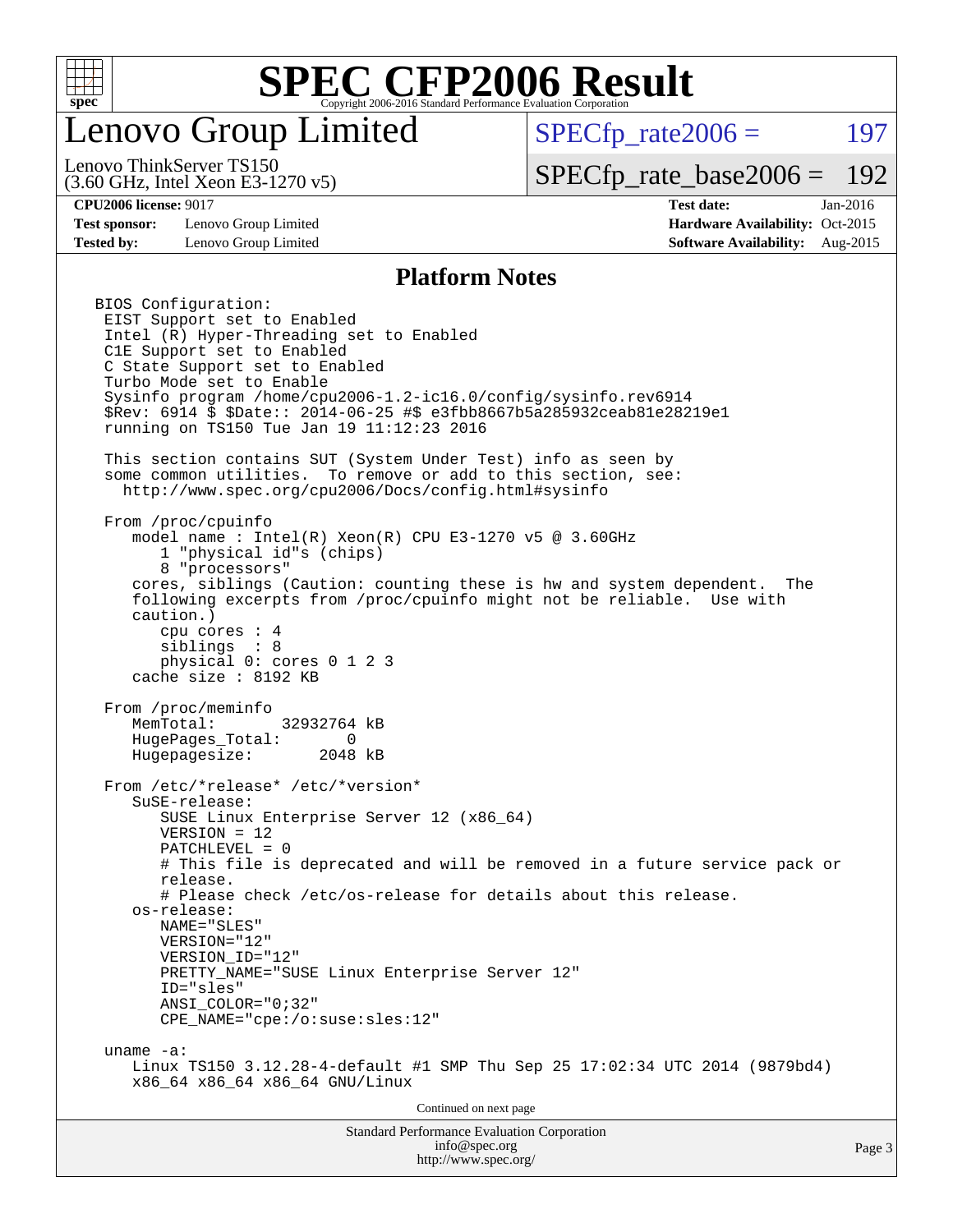

### enovo Group Limited

 $SPECfp_rate2006 = 197$  $SPECfp_rate2006 = 197$ 

(3.60 GHz, Intel Xeon E3-1270 v5) Lenovo ThinkServer TS150

[SPECfp\\_rate\\_base2006 =](http://www.spec.org/auto/cpu2006/Docs/result-fields.html#SPECfpratebase2006) 192

**[Test sponsor:](http://www.spec.org/auto/cpu2006/Docs/result-fields.html#Testsponsor)** Lenovo Group Limited **[Hardware Availability:](http://www.spec.org/auto/cpu2006/Docs/result-fields.html#HardwareAvailability)** Oct-2015

**[CPU2006 license:](http://www.spec.org/auto/cpu2006/Docs/result-fields.html#CPU2006license)** 9017 **[Test date:](http://www.spec.org/auto/cpu2006/Docs/result-fields.html#Testdate)** Jan-2016 **[Tested by:](http://www.spec.org/auto/cpu2006/Docs/result-fields.html#Testedby)** Lenovo Group Limited **[Software Availability:](http://www.spec.org/auto/cpu2006/Docs/result-fields.html#SoftwareAvailability)** Aug-2015

#### **[Platform Notes](http://www.spec.org/auto/cpu2006/Docs/result-fields.html#PlatformNotes)**

Standard Performance Evaluation Corporation [info@spec.org](mailto:info@spec.org) BIOS Configuration: EIST Support set to Enabled Intel (R) Hyper-Threading set to Enabled C1E Support set to Enabled C State Support set to Enabled Turbo Mode set to Enable Sysinfo program /home/cpu2006-1.2-ic16.0/config/sysinfo.rev6914 \$Rev: 6914 \$ \$Date:: 2014-06-25 #\$ e3fbb8667b5a285932ceab81e28219e1 running on TS150 Tue Jan 19 11:12:23 2016 This section contains SUT (System Under Test) info as seen by some common utilities. To remove or add to this section, see: <http://www.spec.org/cpu2006/Docs/config.html#sysinfo> From /proc/cpuinfo model name:  $Intel(R)$  Xeon $(R)$  CPU E3-1270 v5 @ 3.60GHz 1 "physical id"s (chips) 8 "processors" cores, siblings (Caution: counting these is hw and system dependent. The following excerpts from /proc/cpuinfo might not be reliable. Use with caution.) cpu cores : 4 siblings : 8 physical 0: cores 0 1 2 3 cache size : 8192 KB From /proc/meminfo MemTotal: 32932764 kB HugePages\_Total: 0 Hugepagesize: 2048 kB From /etc/\*release\* /etc/\*version\* SuSE-release: SUSE Linux Enterprise Server 12 (x86\_64) VERSION = 12 PATCHLEVEL = 0 # This file is deprecated and will be removed in a future service pack or release. # Please check /etc/os-release for details about this release. os-release: NAME="SLES" VERSION="12" VERSION\_ID="12" PRETTY\_NAME="SUSE\_Linux Enterprise Server 12" ID="sles" ANSI\_COLOR="0;32" CPE\_NAME="cpe:/o:suse:sles:12" uname -a: Linux TS150 3.12.28-4-default #1 SMP Thu Sep 25 17:02:34 UTC 2014 (9879bd4) x86\_64 x86\_64 x86\_64 GNU/Linux Continued on next page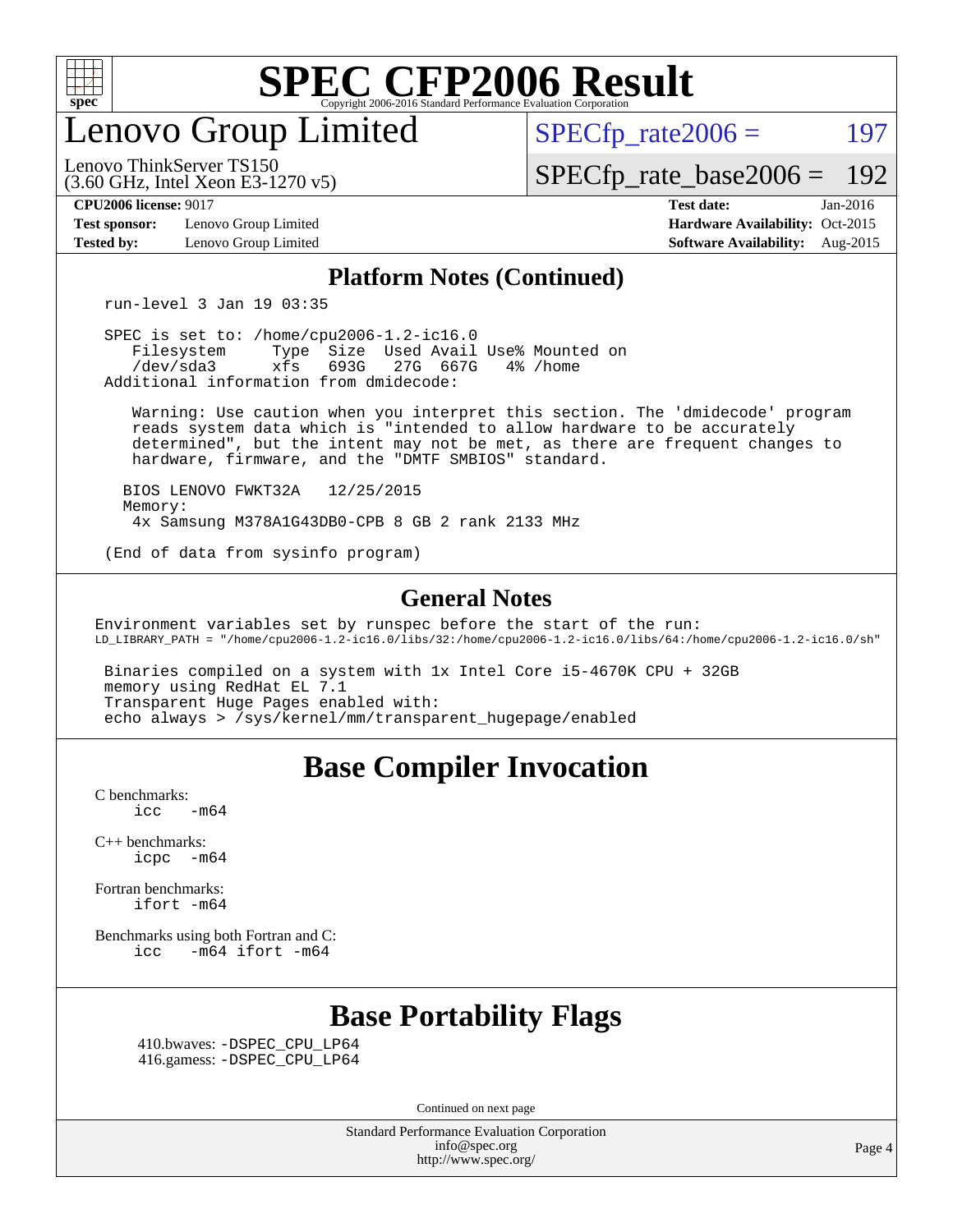

enovo Group Limited

 $SPECTp\_rate2006 = 197$ 

(3.60 GHz, Intel Xeon E3-1270 v5) Lenovo ThinkServer TS150

[SPECfp\\_rate\\_base2006 =](http://www.spec.org/auto/cpu2006/Docs/result-fields.html#SPECfpratebase2006) 192

**[Test sponsor:](http://www.spec.org/auto/cpu2006/Docs/result-fields.html#Testsponsor)** Lenovo Group Limited **[Hardware Availability:](http://www.spec.org/auto/cpu2006/Docs/result-fields.html#HardwareAvailability)** Oct-2015

**[CPU2006 license:](http://www.spec.org/auto/cpu2006/Docs/result-fields.html#CPU2006license)** 9017 **[Test date:](http://www.spec.org/auto/cpu2006/Docs/result-fields.html#Testdate)** Jan-2016 **[Tested by:](http://www.spec.org/auto/cpu2006/Docs/result-fields.html#Testedby)** Lenovo Group Limited **[Software Availability:](http://www.spec.org/auto/cpu2006/Docs/result-fields.html#SoftwareAvailability)** Aug-2015

#### **[Platform Notes \(Continued\)](http://www.spec.org/auto/cpu2006/Docs/result-fields.html#PlatformNotes)**

run-level 3 Jan 19 03:35

 SPEC is set to: /home/cpu2006-1.2-ic16.0 Filesystem Type Size Used Avail Use% Mounted on<br>
/dev/sda3 xfs 693G 27G 667G 4% /home 27G 667G Additional information from dmidecode:

 Warning: Use caution when you interpret this section. The 'dmidecode' program reads system data which is "intended to allow hardware to be accurately determined", but the intent may not be met, as there are frequent changes to hardware, firmware, and the "DMTF SMBIOS" standard.

 BIOS LENOVO FWKT32A 12/25/2015 Memory: 4x Samsung M378A1G43DB0-CPB 8 GB 2 rank 2133 MHz

(End of data from sysinfo program)

#### **[General Notes](http://www.spec.org/auto/cpu2006/Docs/result-fields.html#GeneralNotes)**

Environment variables set by runspec before the start of the run: LD\_LIBRARY\_PATH = "/home/cpu2006-1.2-ic16.0/libs/32:/home/cpu2006-1.2-ic16.0/libs/64:/home/cpu2006-1.2-ic16.0/sh"

 Binaries compiled on a system with 1x Intel Core i5-4670K CPU + 32GB memory using RedHat EL 7.1 Transparent Huge Pages enabled with: echo always > /sys/kernel/mm/transparent\_hugepage/enabled

#### **[Base Compiler Invocation](http://www.spec.org/auto/cpu2006/Docs/result-fields.html#BaseCompilerInvocation)**

[C benchmarks](http://www.spec.org/auto/cpu2006/Docs/result-fields.html#Cbenchmarks):  $\text{icc}$  -m64

[C++ benchmarks:](http://www.spec.org/auto/cpu2006/Docs/result-fields.html#CXXbenchmarks) [icpc -m64](http://www.spec.org/cpu2006/results/res2016q1/cpu2006-20160125-38865.flags.html#user_CXXbase_intel_icpc_64bit_bedb90c1146cab66620883ef4f41a67e)

[Fortran benchmarks](http://www.spec.org/auto/cpu2006/Docs/result-fields.html#Fortranbenchmarks): [ifort -m64](http://www.spec.org/cpu2006/results/res2016q1/cpu2006-20160125-38865.flags.html#user_FCbase_intel_ifort_64bit_ee9d0fb25645d0210d97eb0527dcc06e)

[Benchmarks using both Fortran and C](http://www.spec.org/auto/cpu2006/Docs/result-fields.html#BenchmarksusingbothFortranandC): [icc -m64](http://www.spec.org/cpu2006/results/res2016q1/cpu2006-20160125-38865.flags.html#user_CC_FCbase_intel_icc_64bit_0b7121f5ab7cfabee23d88897260401c) [ifort -m64](http://www.spec.org/cpu2006/results/res2016q1/cpu2006-20160125-38865.flags.html#user_CC_FCbase_intel_ifort_64bit_ee9d0fb25645d0210d97eb0527dcc06e)

### **[Base Portability Flags](http://www.spec.org/auto/cpu2006/Docs/result-fields.html#BasePortabilityFlags)**

 410.bwaves: [-DSPEC\\_CPU\\_LP64](http://www.spec.org/cpu2006/results/res2016q1/cpu2006-20160125-38865.flags.html#suite_basePORTABILITY410_bwaves_DSPEC_CPU_LP64) 416.gamess: [-DSPEC\\_CPU\\_LP64](http://www.spec.org/cpu2006/results/res2016q1/cpu2006-20160125-38865.flags.html#suite_basePORTABILITY416_gamess_DSPEC_CPU_LP64)

Continued on next page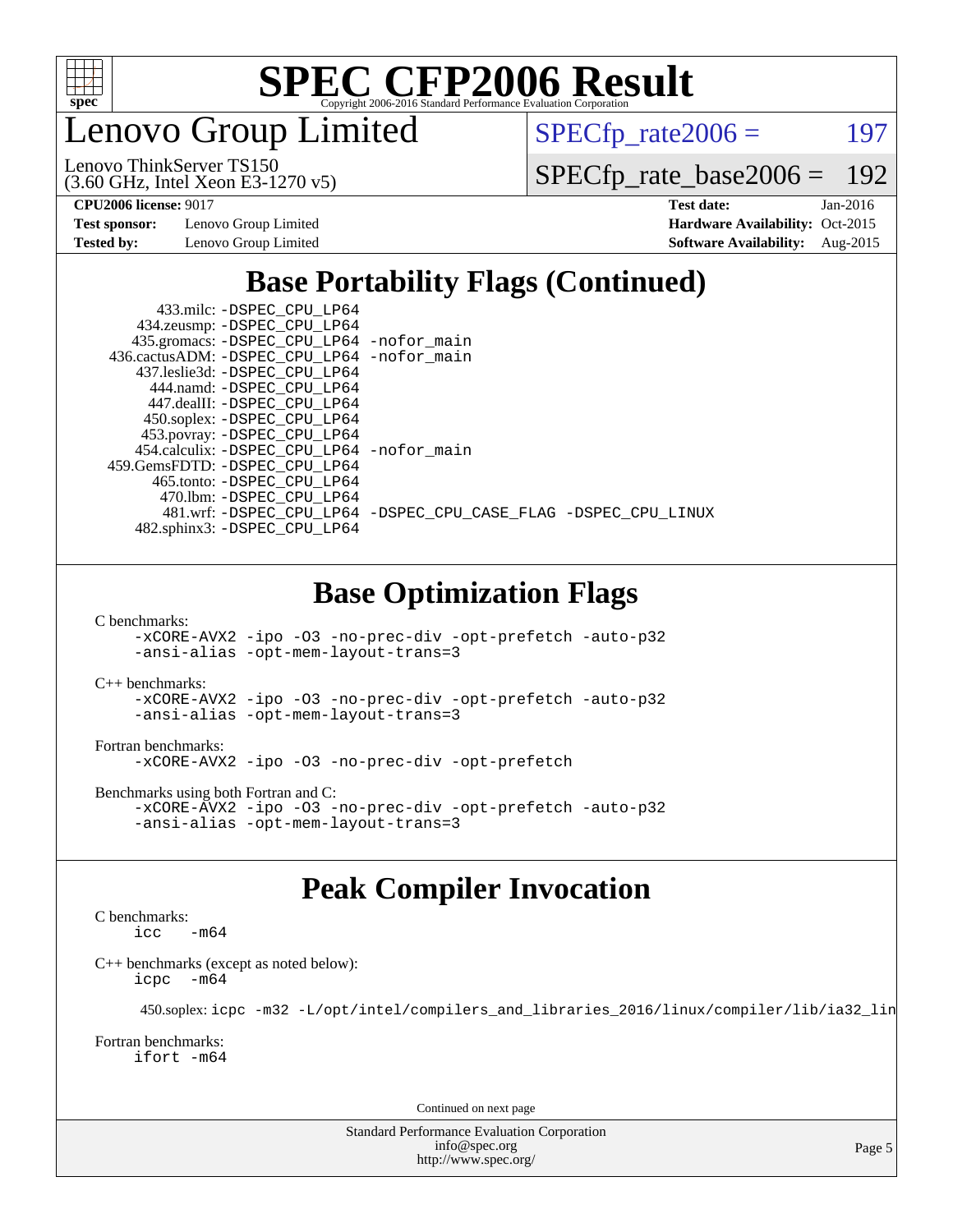

enovo Group Limited

 $SPECTp_rate2006 = 197$ 

(3.60 GHz, Intel Xeon E3-1270 v5) Lenovo ThinkServer TS150

[SPECfp\\_rate\\_base2006 =](http://www.spec.org/auto/cpu2006/Docs/result-fields.html#SPECfpratebase2006) 192

**[Test sponsor:](http://www.spec.org/auto/cpu2006/Docs/result-fields.html#Testsponsor)** Lenovo Group Limited **[Hardware Availability:](http://www.spec.org/auto/cpu2006/Docs/result-fields.html#HardwareAvailability)** Oct-2015

**[CPU2006 license:](http://www.spec.org/auto/cpu2006/Docs/result-fields.html#CPU2006license)** 9017 **[Test date:](http://www.spec.org/auto/cpu2006/Docs/result-fields.html#Testdate)** Jan-2016 **[Tested by:](http://www.spec.org/auto/cpu2006/Docs/result-fields.html#Testedby)** Lenovo Group Limited **[Software Availability:](http://www.spec.org/auto/cpu2006/Docs/result-fields.html#SoftwareAvailability)** Aug-2015

### **[Base Portability Flags \(Continued\)](http://www.spec.org/auto/cpu2006/Docs/result-fields.html#BasePortabilityFlags)**

| 433.milc: -DSPEC CPU LP64                  |                                                                |
|--------------------------------------------|----------------------------------------------------------------|
| 434.zeusmp: - DSPEC_CPU_LP64               |                                                                |
| 435.gromacs: -DSPEC_CPU_LP64 -nofor_main   |                                                                |
| 436.cactusADM: -DSPEC CPU LP64 -nofor main |                                                                |
| 437.leslie3d: -DSPEC CPU LP64              |                                                                |
| 444.namd: -DSPEC CPU LP64                  |                                                                |
| 447.dealII: -DSPEC_CPU LP64                |                                                                |
| 450.soplex: -DSPEC_CPU_LP64                |                                                                |
| 453.povray: -DSPEC_CPU_LP64                |                                                                |
| 454.calculix: -DSPEC_CPU_LP64 -nofor_main  |                                                                |
| 459. GemsFDTD: - DSPEC CPU LP64            |                                                                |
| 465.tonto: - DSPEC CPU LP64                |                                                                |
| 470.1bm: - DSPEC CPU LP64                  |                                                                |
|                                            | 481.wrf: -DSPEC CPU_LP64 -DSPEC_CPU_CASE_FLAG -DSPEC_CPU_LINUX |
| 482.sphinx3: -DSPEC_CPU_LP64               |                                                                |
|                                            |                                                                |
|                                            |                                                                |

#### **[Base Optimization Flags](http://www.spec.org/auto/cpu2006/Docs/result-fields.html#BaseOptimizationFlags)**

[C benchmarks](http://www.spec.org/auto/cpu2006/Docs/result-fields.html#Cbenchmarks):

[-xCORE-AVX2](http://www.spec.org/cpu2006/results/res2016q1/cpu2006-20160125-38865.flags.html#user_CCbase_f-xAVX2_5f5fc0cbe2c9f62c816d3e45806c70d7) [-ipo](http://www.spec.org/cpu2006/results/res2016q1/cpu2006-20160125-38865.flags.html#user_CCbase_f-ipo) [-O3](http://www.spec.org/cpu2006/results/res2016q1/cpu2006-20160125-38865.flags.html#user_CCbase_f-O3) [-no-prec-div](http://www.spec.org/cpu2006/results/res2016q1/cpu2006-20160125-38865.flags.html#user_CCbase_f-no-prec-div) [-opt-prefetch](http://www.spec.org/cpu2006/results/res2016q1/cpu2006-20160125-38865.flags.html#user_CCbase_f-opt-prefetch) [-auto-p32](http://www.spec.org/cpu2006/results/res2016q1/cpu2006-20160125-38865.flags.html#user_CCbase_f-auto-p32) [-ansi-alias](http://www.spec.org/cpu2006/results/res2016q1/cpu2006-20160125-38865.flags.html#user_CCbase_f-ansi-alias) [-opt-mem-layout-trans=3](http://www.spec.org/cpu2006/results/res2016q1/cpu2006-20160125-38865.flags.html#user_CCbase_f-opt-mem-layout-trans_a7b82ad4bd7abf52556d4961a2ae94d5)

[C++ benchmarks:](http://www.spec.org/auto/cpu2006/Docs/result-fields.html#CXXbenchmarks)

[-xCORE-AVX2](http://www.spec.org/cpu2006/results/res2016q1/cpu2006-20160125-38865.flags.html#user_CXXbase_f-xAVX2_5f5fc0cbe2c9f62c816d3e45806c70d7) [-ipo](http://www.spec.org/cpu2006/results/res2016q1/cpu2006-20160125-38865.flags.html#user_CXXbase_f-ipo) [-O3](http://www.spec.org/cpu2006/results/res2016q1/cpu2006-20160125-38865.flags.html#user_CXXbase_f-O3) [-no-prec-div](http://www.spec.org/cpu2006/results/res2016q1/cpu2006-20160125-38865.flags.html#user_CXXbase_f-no-prec-div) [-opt-prefetch](http://www.spec.org/cpu2006/results/res2016q1/cpu2006-20160125-38865.flags.html#user_CXXbase_f-opt-prefetch) [-auto-p32](http://www.spec.org/cpu2006/results/res2016q1/cpu2006-20160125-38865.flags.html#user_CXXbase_f-auto-p32) [-ansi-alias](http://www.spec.org/cpu2006/results/res2016q1/cpu2006-20160125-38865.flags.html#user_CXXbase_f-ansi-alias) [-opt-mem-layout-trans=3](http://www.spec.org/cpu2006/results/res2016q1/cpu2006-20160125-38865.flags.html#user_CXXbase_f-opt-mem-layout-trans_a7b82ad4bd7abf52556d4961a2ae94d5)

[Fortran benchmarks](http://www.spec.org/auto/cpu2006/Docs/result-fields.html#Fortranbenchmarks): [-xCORE-AVX2](http://www.spec.org/cpu2006/results/res2016q1/cpu2006-20160125-38865.flags.html#user_FCbase_f-xAVX2_5f5fc0cbe2c9f62c816d3e45806c70d7) [-ipo](http://www.spec.org/cpu2006/results/res2016q1/cpu2006-20160125-38865.flags.html#user_FCbase_f-ipo) [-O3](http://www.spec.org/cpu2006/results/res2016q1/cpu2006-20160125-38865.flags.html#user_FCbase_f-O3) [-no-prec-div](http://www.spec.org/cpu2006/results/res2016q1/cpu2006-20160125-38865.flags.html#user_FCbase_f-no-prec-div) [-opt-prefetch](http://www.spec.org/cpu2006/results/res2016q1/cpu2006-20160125-38865.flags.html#user_FCbase_f-opt-prefetch)

[Benchmarks using both Fortran and C](http://www.spec.org/auto/cpu2006/Docs/result-fields.html#BenchmarksusingbothFortranandC): [-xCORE-AVX2](http://www.spec.org/cpu2006/results/res2016q1/cpu2006-20160125-38865.flags.html#user_CC_FCbase_f-xAVX2_5f5fc0cbe2c9f62c816d3e45806c70d7) [-ipo](http://www.spec.org/cpu2006/results/res2016q1/cpu2006-20160125-38865.flags.html#user_CC_FCbase_f-ipo) [-O3](http://www.spec.org/cpu2006/results/res2016q1/cpu2006-20160125-38865.flags.html#user_CC_FCbase_f-O3) [-no-prec-div](http://www.spec.org/cpu2006/results/res2016q1/cpu2006-20160125-38865.flags.html#user_CC_FCbase_f-no-prec-div) [-opt-prefetch](http://www.spec.org/cpu2006/results/res2016q1/cpu2006-20160125-38865.flags.html#user_CC_FCbase_f-opt-prefetch) [-auto-p32](http://www.spec.org/cpu2006/results/res2016q1/cpu2006-20160125-38865.flags.html#user_CC_FCbase_f-auto-p32) [-ansi-alias](http://www.spec.org/cpu2006/results/res2016q1/cpu2006-20160125-38865.flags.html#user_CC_FCbase_f-ansi-alias) [-opt-mem-layout-trans=3](http://www.spec.org/cpu2006/results/res2016q1/cpu2006-20160125-38865.flags.html#user_CC_FCbase_f-opt-mem-layout-trans_a7b82ad4bd7abf52556d4961a2ae94d5)

### **[Peak Compiler Invocation](http://www.spec.org/auto/cpu2006/Docs/result-fields.html#PeakCompilerInvocation)**

[C benchmarks](http://www.spec.org/auto/cpu2006/Docs/result-fields.html#Cbenchmarks):  $-m64$ 

[C++ benchmarks \(except as noted below\):](http://www.spec.org/auto/cpu2006/Docs/result-fields.html#CXXbenchmarksexceptasnotedbelow) [icpc -m64](http://www.spec.org/cpu2006/results/res2016q1/cpu2006-20160125-38865.flags.html#user_CXXpeak_intel_icpc_64bit_bedb90c1146cab66620883ef4f41a67e)

450.soplex: [icpc -m32 -L/opt/intel/compilers\\_and\\_libraries\\_2016/linux/compiler/lib/ia32\\_lin](http://www.spec.org/cpu2006/results/res2016q1/cpu2006-20160125-38865.flags.html#user_peakCXXLD450_soplex_intel_icpc_b4f50a394bdb4597aa5879c16bc3f5c5)

[Fortran benchmarks](http://www.spec.org/auto/cpu2006/Docs/result-fields.html#Fortranbenchmarks): [ifort -m64](http://www.spec.org/cpu2006/results/res2016q1/cpu2006-20160125-38865.flags.html#user_FCpeak_intel_ifort_64bit_ee9d0fb25645d0210d97eb0527dcc06e)

Continued on next page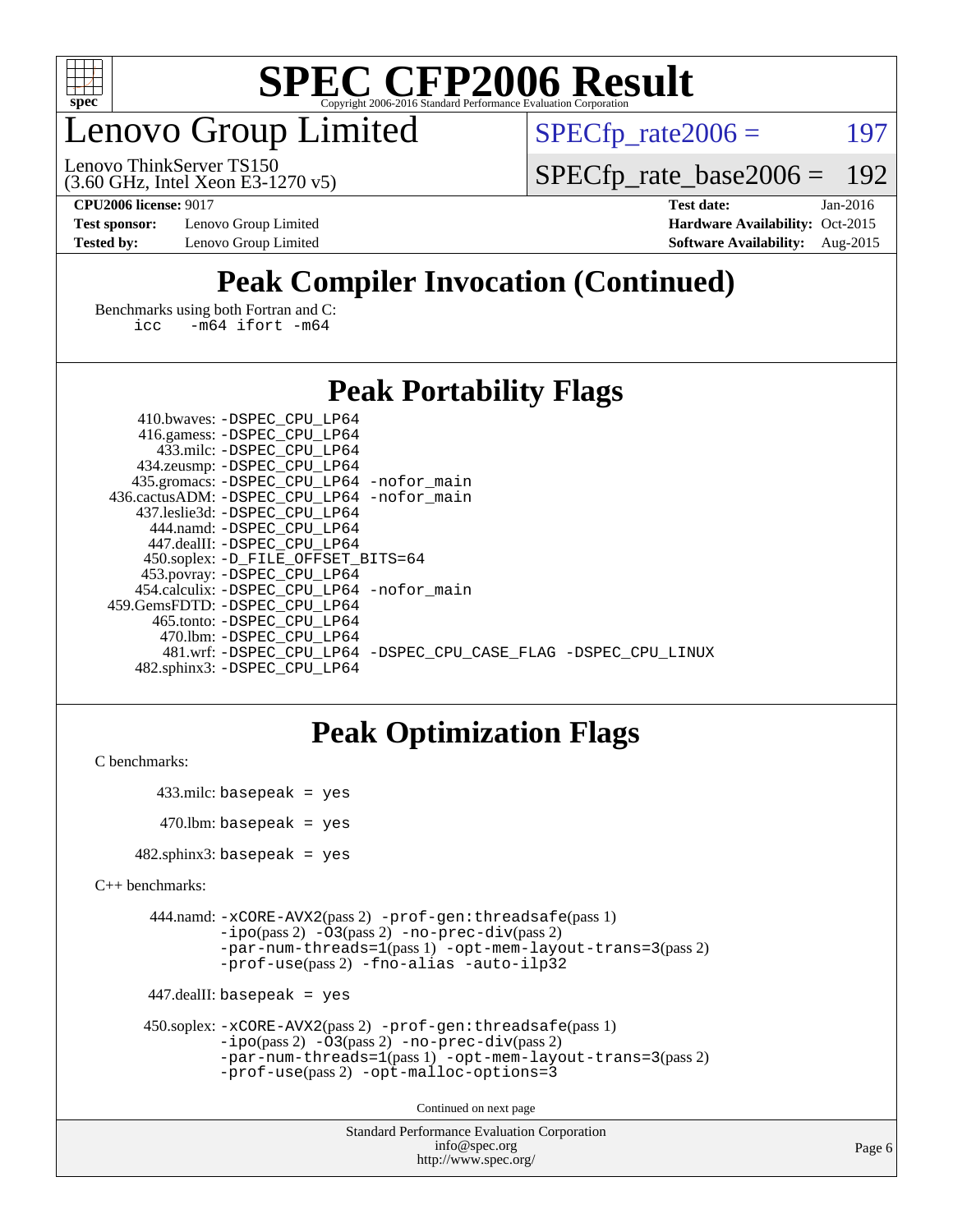

### enovo Group Limited

 $SPECTp_rate2006 = 197$ 

(3.60 GHz, Intel Xeon E3-1270 v5) Lenovo ThinkServer TS150

[SPECfp\\_rate\\_base2006 =](http://www.spec.org/auto/cpu2006/Docs/result-fields.html#SPECfpratebase2006) 192

**[Test sponsor:](http://www.spec.org/auto/cpu2006/Docs/result-fields.html#Testsponsor)** Lenovo Group Limited **[Hardware Availability:](http://www.spec.org/auto/cpu2006/Docs/result-fields.html#HardwareAvailability)** Oct-2015

**[CPU2006 license:](http://www.spec.org/auto/cpu2006/Docs/result-fields.html#CPU2006license)** 9017 **[Test date:](http://www.spec.org/auto/cpu2006/Docs/result-fields.html#Testdate)** Jan-2016 **[Tested by:](http://www.spec.org/auto/cpu2006/Docs/result-fields.html#Testedby)** Lenovo Group Limited **[Software Availability:](http://www.spec.org/auto/cpu2006/Docs/result-fields.html#SoftwareAvailability)** Aug-2015

### **[Peak Compiler Invocation \(Continued\)](http://www.spec.org/auto/cpu2006/Docs/result-fields.html#PeakCompilerInvocation)**

[Benchmarks using both Fortran and C](http://www.spec.org/auto/cpu2006/Docs/result-fields.html#BenchmarksusingbothFortranandC): [icc -m64](http://www.spec.org/cpu2006/results/res2016q1/cpu2006-20160125-38865.flags.html#user_CC_FCpeak_intel_icc_64bit_0b7121f5ab7cfabee23d88897260401c) [ifort -m64](http://www.spec.org/cpu2006/results/res2016q1/cpu2006-20160125-38865.flags.html#user_CC_FCpeak_intel_ifort_64bit_ee9d0fb25645d0210d97eb0527dcc06e)

#### **[Peak Portability Flags](http://www.spec.org/auto/cpu2006/Docs/result-fields.html#PeakPortabilityFlags)**

| 410.bwaves: -DSPEC CPU LP64                 |                                                                |
|---------------------------------------------|----------------------------------------------------------------|
| 416.gamess: -DSPEC_CPU_LP64                 |                                                                |
| 433.milc: -DSPEC CPU LP64                   |                                                                |
| 434.zeusmp: -DSPEC_CPU_LP64                 |                                                                |
| 435.gromacs: -DSPEC_CPU_LP64 -nofor_main    |                                                                |
| 436.cactusADM: -DSPEC CPU LP64 -nofor main  |                                                                |
| 437.leslie3d: -DSPEC CPU LP64               |                                                                |
| 444.namd: - DSPEC_CPU LP64                  |                                                                |
| 447.dealII: -DSPEC CPU LP64                 |                                                                |
| 450.soplex: -D_FILE_OFFSET_BITS=64          |                                                                |
| 453.povray: -DSPEC_CPU_LP64                 |                                                                |
| 454.calculix: - DSPEC CPU LP64 - nofor main |                                                                |
| 459.GemsFDTD: -DSPEC CPU LP64               |                                                                |
| 465.tonto: - DSPEC CPU LP64                 |                                                                |
| 470.1bm: - DSPEC CPU LP64                   |                                                                |
|                                             | 481.wrf: -DSPEC CPU LP64 -DSPEC CPU CASE FLAG -DSPEC CPU LINUX |
| 482.sphinx3: -DSPEC CPU LP64                |                                                                |

### **[Peak Optimization Flags](http://www.spec.org/auto/cpu2006/Docs/result-fields.html#PeakOptimizationFlags)**

```
C benchmarks:
```

```
 433.milc: basepeak = yes
470.lbm: basepeak = yes
```
482.sphinx3: basepeak = yes

```
C++ benchmarks:
```

```
 444.namd: -xCORE-AVX2(pass 2) -prof-gen:threadsafe(pass 1)
         -i\text{po}(pass 2) -\overline{O}3(pass 2)-no-prec-div(pass 2)
         -par-num-threads=1(pass 1) -opt-mem-layout-trans=3(pass 2)
         -prof-use(pass 2) -fno-alias -auto-ilp32
```

```
 447.dealII: basepeak = yes
```

```
 450.soplex: -xCORE-AVX2(pass 2) -prof-gen:threadsafe(pass 1)
         -ipo(pass 2) -O3(pass 2) -no-prec-div(pass 2)
         -par-num-threads=1(pass 1) -opt-mem-layout-trans=3(pass 2)
         -prof-use(pass 2) -opt-malloc-options=3
```
Continued on next page

```
Standard Performance Evaluation Corporation
              info@spec.org
           http://www.spec.org/
```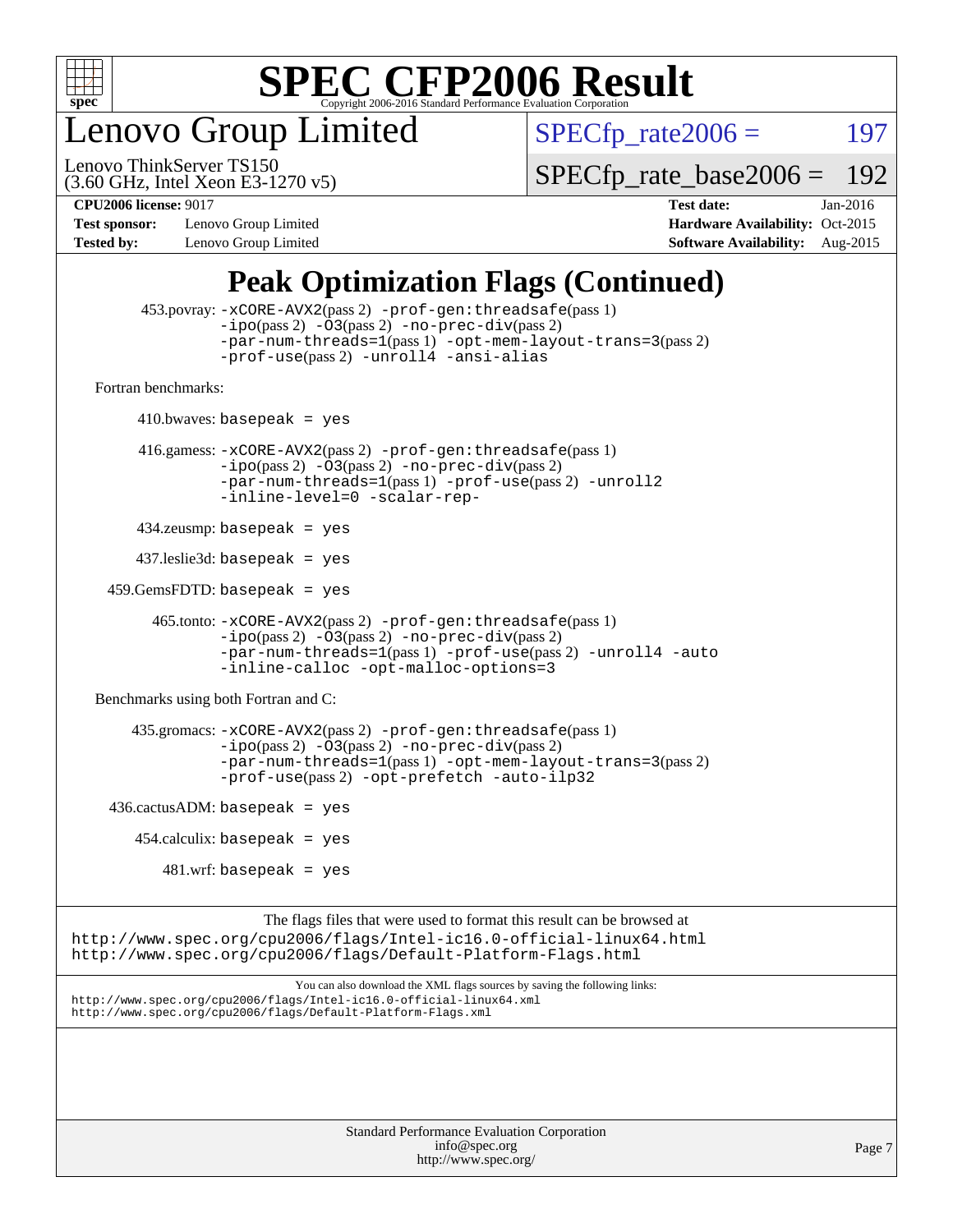

enovo Group Limited

 $SPECTp_rate2006 = 197$ 

(3.60 GHz, Intel Xeon E3-1270 v5) Lenovo ThinkServer TS150

[SPECfp\\_rate\\_base2006 =](http://www.spec.org/auto/cpu2006/Docs/result-fields.html#SPECfpratebase2006) 192

**[Test sponsor:](http://www.spec.org/auto/cpu2006/Docs/result-fields.html#Testsponsor)** Lenovo Group Limited **[Hardware Availability:](http://www.spec.org/auto/cpu2006/Docs/result-fields.html#HardwareAvailability)** Oct-2015 **[Tested by:](http://www.spec.org/auto/cpu2006/Docs/result-fields.html#Testedby)** Lenovo Group Limited **[Software Availability:](http://www.spec.org/auto/cpu2006/Docs/result-fields.html#SoftwareAvailability)** Aug-2015

**[CPU2006 license:](http://www.spec.org/auto/cpu2006/Docs/result-fields.html#CPU2006license)** 9017 **[Test date:](http://www.spec.org/auto/cpu2006/Docs/result-fields.html#Testdate)** Jan-2016

### **[Peak Optimization Flags \(Continued\)](http://www.spec.org/auto/cpu2006/Docs/result-fields.html#PeakOptimizationFlags)**

```
 453.povray: -xCORE-AVX2(pass 2) -prof-gen:threadsafe(pass 1)
                   -i\text{po}(pass 2) -\overset{\sim}{O}3(pass 2)-no-prec-div(pass 2)
                   -par-num-threads=1(pass 1) -opt-mem-layout-trans=3(pass 2)
                   -prof-use(pass 2) -unroll4 -ansi-alias
   Fortran benchmarks: 
        410.bwaves: basepeak = yes 416.gamess: -xCORE-AVX2(pass 2) -prof-gen:threadsafe(pass 1)
                   -ipo(pass 2) -O3(pass 2) -no-prec-div(pass 2)
                   -par-num-threads=1(pass 1) -prof-use(pass 2) -unroll2
                   -inline-level=0 -scalar-rep-
         434.zeusmp: basepeak = yes
         437.leslie3d: basepeak = yes
     459.GemsFDTD: basepeak = yes
           465.tonto: -xCORE-AVX2(pass 2) -prof-gen:threadsafe(pass 1)
                   -i\text{po}(pass 2) -03(pass 2)-no-prec-div(pass 2)
                   -par-num-threads=1(pass 1) -prof-use(pass 2) -unroll4 -auto
                   -inline-calloc -opt-malloc-options=3
   Benchmarks using both Fortran and C: 
         435.gromacs: -xCORE-AVX2(pass 2) -prof-gen:threadsafe(pass 1)
                   -i\text{po}(pass 2) -\tilde{O}3(pass 2)-no-prec-div(pass 2)
                   -par-num-threads=1(pass 1) -opt-mem-layout-trans=3(pass 2)
                   -prof-use(pass 2) -opt-prefetch -auto-ilp32
    436.cactusADM:basepeak = yes454.calculix: basepeak = yes
            481 \text{.m}: basepeak = yes
                         The flags files that were used to format this result can be browsed at
http://www.spec.org/cpu2006/flags/Intel-ic16.0-official-linux64.html
http://www.spec.org/cpu2006/flags/Default-Platform-Flags.html
                             You can also download the XML flags sources by saving the following links:
http://www.spec.org/cpu2006/flags/Intel-ic16.0-official-linux64.xml
http://www.spec.org/cpu2006/flags/Default-Platform-Flags.xml
```